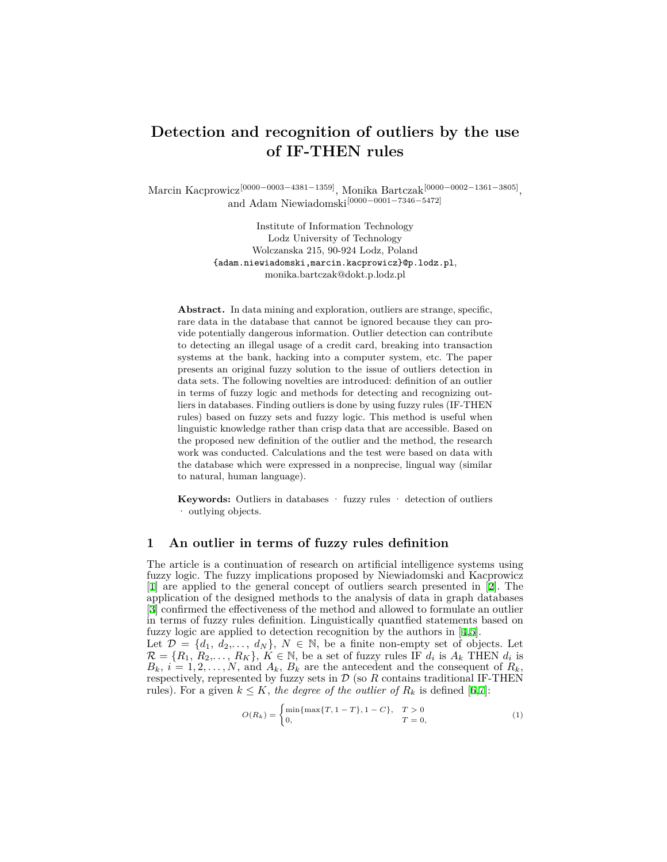# **Detection and recognition of outliers by the use of IF-THEN rules**

Marcin Kacprowicz[0000*−*0003*−*4381*−*1359], Monika Bartczak[0000*−*0002*−*1361*−*3805] , and Adam Niewiadomski[0000*−*0001*−*7346*−*5472]

> Institute of Information Technology Lodz University of Technology Wolczanska 215, 90-924 Lodz, Poland {adam.niewiadomski,marcin.kacprowicz}@p.lodz.pl, monika.bartczak@dokt.p.lodz.pl

**Abstract.** In data mining and exploration, outliers are strange, specific, rare data in the database that cannot be ignored because they can provide potentially dangerous information. Outlier detection can contribute to detecting an illegal usage of a credit card, breaking into transaction systems at the bank, hacking into a computer system, etc. The paper presents an original fuzzy solution to the issue of outliers detection in data sets. The following novelties are introduced: definition of an outlier in terms of fuzzy logic and methods for detecting and recognizing outliers in databases. Finding outliers is done by using fuzzy rules (IF-THEN rules) based on fuzzy sets and fuzzy logic. This method is useful when linguistic knowledge rather than crisp data that are accessible. Based on the proposed new definition of the outlier and the method, the research work was conducted. Calculations and the test were based on data with the database which were expressed in a nonprecise, lingual way (similar to natural, human language).

**Keywords:** Outliers in databases · fuzzy rules · detection of outliers · outlying objects.

### **1 An outlier in terms of fuzzy rules definition**

The article is a continuation of research on artificial intelligence systems using fuzzy logic. The fuzzy implications proposed by Niewiadomski and Kacprowicz [[1\]](#page-3-0) are applied to the general concept of outliers search presented in [[2\]](#page-3-1). The application of the designed methods to the analysis of data in graph databases [[3\]](#page-3-2) confirmed the effectiveness of the method and allowed to formulate an outlier in terms of fuzzy rules definition. Linguistically quantfied statements based on fuzzy logic are applied to detection recognition by the authors in [[4,](#page-3-3)[5\]](#page-3-4).

Let  $\mathcal{D} = \{d_1, d_2, \ldots, d_N\}, N \in \mathbb{N}$ , be a finite non-empty set of objects. Let  $\mathcal{R} = \{R_1, R_2, \ldots, R_K\}, K \in \mathbb{N}$ , be a set of fuzzy rules IF  $d_i$  is  $A_k$  THEN  $d_i$  is  $B_k$ ,  $i = 1, 2, \ldots, N$ , and  $A_k$ ,  $B_k$  are the antecedent and the consequent of  $R_k$ , respectively, represented by fuzzy sets in  $D$  (so  $R$  contains traditional IF-THEN rules). For a given  $k \leq K$ , the degree of the outlier of  $R_k$  is defined [\[6](#page-3-5)[,7](#page-3-6)]:

$$
O(R_k) = \begin{cases} \min\{\max\{T, 1 - T\}, 1 - C\}, & T > 0\\ 0, & T = 0, \end{cases}
$$
 (1)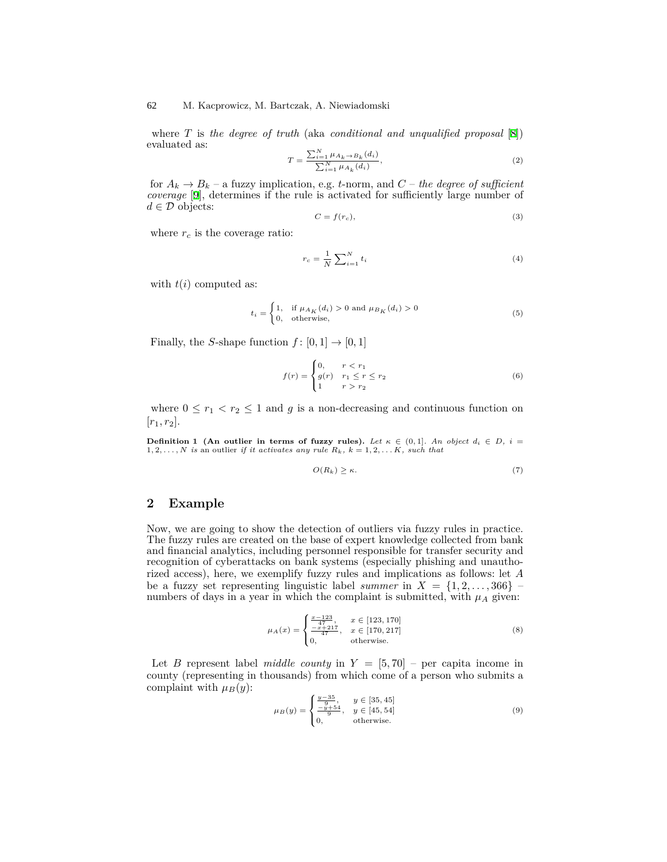#### M. Kacprowicz, M. Bartczak, A. Niewiadomski 62

where *T* is *the degree of truth* (aka *conditional and unqualified proposal* [[8\]](#page-3-7)) evaluated as:

$$
T = \frac{\sum_{i=1}^{N} \mu_{A_k \to B_k}(d_i)}{\sum_{i=1}^{N} \mu_{A_k}(d_i)},
$$
\n(2)

for  $A_k \to B_k$  – a fuzzy implication, e.g. *t*-norm, and  $C$  – *the degree of sufficient coverage* [[9\]](#page-3-8), determines if the rule is activated for sufficiently large number of *d ∈ D* objects:

$$
C = f(r_c),\tag{3}
$$

where  $r_c$  is the coverage ratio:

$$
r_c = \frac{1}{N} \sum_{i=1}^{N} t_i
$$
 (4)

with  $t(i)$  computed as:

$$
t_i = \begin{cases} 1, & \text{if } \mu_{A_K}(d_i) > 0 \text{ and } \mu_{B_K}(d_i) > 0\\ 0, & \text{otherwise,} \end{cases}
$$
 (5)

Finally, the *S*-shape function  $f: [0,1] \rightarrow [0,1]$ 

$$
f(r) = \begin{cases} 0, & r < r_1 \\ g(r) & r_1 \le r \le r_2 \\ 1 & r > r_2 \end{cases}
$$
 (6)

where  $0 \leq r_1 < r_2 \leq 1$  and *g* is a non-decreasing and continuous function on  $[r_1, r_2]$ .

**Definition 1 (An outlier in terms of fuzzy rules).** Let  $\kappa \in (0,1]$ . An object  $d_i \in D$ ,  $i =$  $1, 2, \ldots, N$  *is* an outlier *if it activates any rule*  $R_k$ *,*  $k = 1, 2, \ldots K$ *, such that* 

$$
O(R_k) \ge \kappa. \tag{7}
$$

### **2 Example**

Now, we are going to show the detection of outliers via fuzzy rules in practice. The fuzzy rules are created on the base of expert knowledge collected from bank and financial analytics, including personnel responsible for transfer security and recognition of cyberattacks on bank systems (especially phishing and unauthorized access), here, we exemplify fuzzy rules and implications as follows: let *A* be a fuzzy set representing linguistic label *summer* in  $X = \{1, 2, \ldots, 366\}$ numbers of days in a year in which the complaint is submitted, with  $\mu_A$  given:

$$
\mu_A(x) = \begin{cases} \frac{x-123}{47}, & x \in [123, 170] \\ \frac{-x+217}{47}, & x \in [170, 217] \\ 0, & \text{otherwise.} \end{cases}
$$
 (8)

Let *B* represent label *middle county* in  $Y = [5, 70]$  – per capita income in county (representing in thousands) from which come of a person who submits a complaint with  $\mu_B(y)$ :

$$
\mu_B(y) = \begin{cases} \frac{y-35}{9}, & y \in [35, 45] \\ \frac{-y+54}{9}, & y \in [45, 54] \\ 0, & \text{otherwise.} \end{cases}
$$
(9)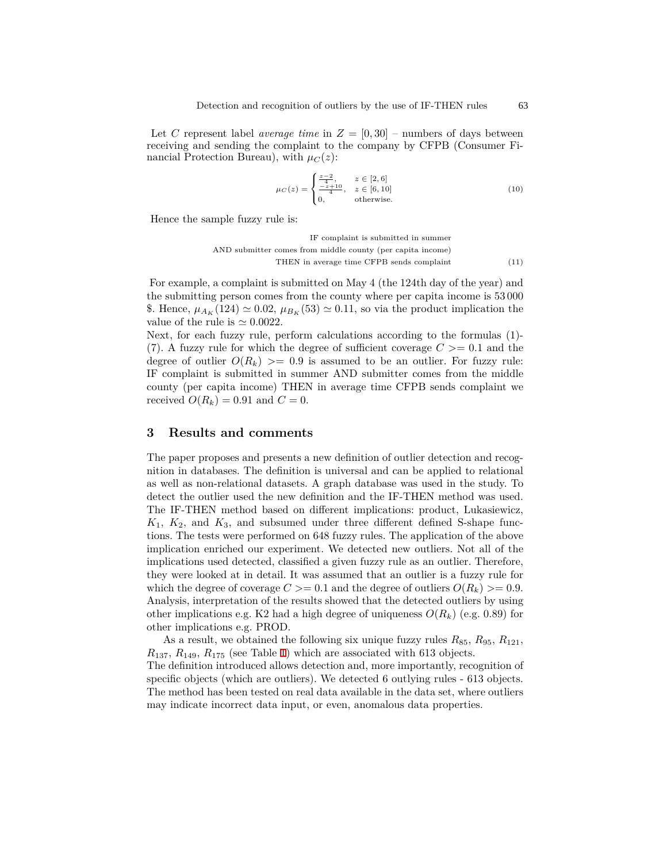Let *C* represent label *average time* in  $Z = [0, 30]$  – numbers of days between receiving and sending the complaint to the company by CFPB (Consumer Financial Protection Bureau), with  $\mu_C(z)$ :

$$
\mu_C(z) = \begin{cases} \frac{z-2}{4}, & z \in [2, 6] \\ \frac{-z+10}{4}, & z \in [6, 10] \\ 0, & \text{otherwise.} \end{cases}
$$
 (10)

Hence the sample fuzzy rule is:

IF complaint is submitted in summer AND submitter comes from middle county (per capita income) THEN in average time CFPB sends complaint (11)

For example, a complaint is submitted on May 4 (the 124th day of the year) and the submitting person comes from the county where per capita income is 53 000 \$. Hence,  $\mu_{A_K}$  (124)  $\simeq 0.02$ ,  $\mu_{B_K}$  (53)  $\simeq 0.11$ , so via the product implication the value of the rule is  $\approx 0.0022$ .

Next, for each fuzzy rule, perform calculations according to the formulas (1)- (7). A fuzzy rule for which the degree of sufficient coverage  $C \geq 0.1$  and the degree of outlier  $O(R_k) \geq 0.9$  is assumed to be an outlier. For fuzzy rule: IF complaint is submitted in summer AND submitter comes from the middle county (per capita income) THEN in average time CFPB sends complaint we received  $O(R_k) = 0.91$  and  $C = 0$ .

## **3 Results and comments**

The paper proposes and presents a new definition of outlier detection and recognition in databases. The definition is universal and can be applied to relational as well as non-relational datasets. A graph database was used in the study. To detect the outlier used the new definition and the IF-THEN method was used. The IF-THEN method based on different implications: product, Lukasiewicz,  $K_1$ ,  $K_2$ , and  $K_3$ , and subsumed under three different defined S-shape functions. The tests were performed on 648 fuzzy rules. The application of the above implication enriched our experiment. We detected new outliers. Not all of the implications used detected, classified a given fuzzy rule as an outlier. Therefore, they were looked at in detail. It was assumed that an outlier is a fuzzy rule for which the degree of coverage  $C \geq 0.1$  and the degree of outliers  $O(R_k) \geq 0.9$ . Analysis, interpretation of the results showed that the detected outliers by using other implications e.g. K2 had a high degree of uniqueness  $O(R_k)$  (e.g. 0*.*89) for other implications e.g. PROD.

As a result, we obtained the following six unique fuzzy rules  $R_{85}$ ,  $R_{95}$ ,  $R_{121}$ ,  $R_{137}$ ,  $R_{149}$ ,  $R_{175}$  (see Table [1\)](#page-3-9) which are associated with 613 objects.

The definition introduced allows detection and, more importantly, recognition of specific objects (which are outliers). We detected 6 outlying rules - 613 objects. The method has been tested on real data available in the data set, where outliers may indicate incorrect data input, or even, anomalous data properties.